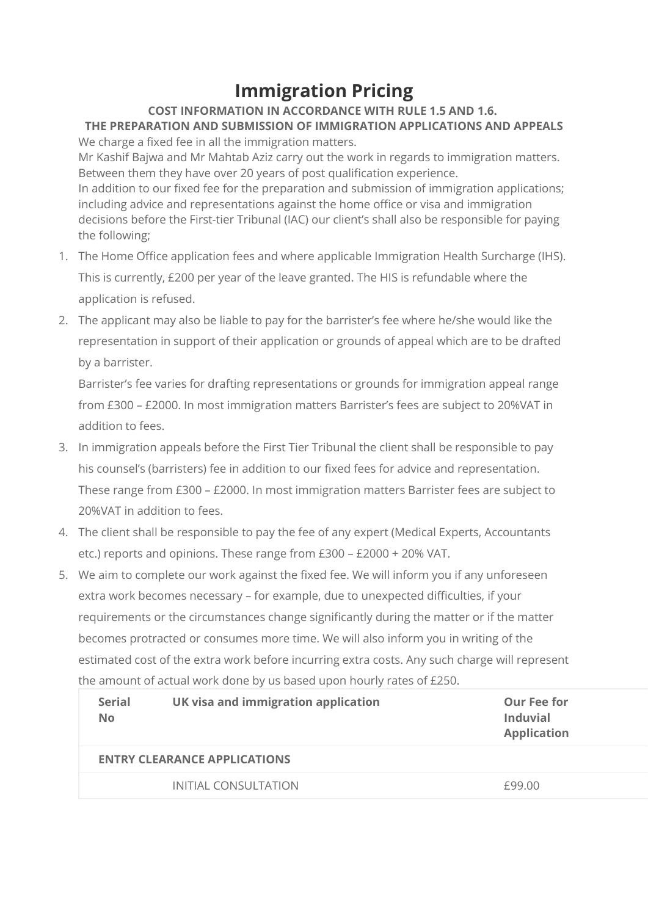## **Immigration Pricing**

## **COST INFORMATION IN ACCORDANCE WITH RULE 1.5 AND 1.6.**

**THE PREPARATION AND SUBMISSION OF IMMIGRATION APPLICATIONS AND APPEALS** We charge a fixed fee in all the immigration matters.

Mr Kashif Bajwa and Mr Mahtab Aziz carry out the work in regards to immigration matters. Between them they have over 20 years of post qualification experience. In addition to our fixed fee for the preparation and submission of immigration applications; including advice and representations against the home office or visa and immigration decisions before the First-tier Tribunal (IAC) our client's shall also be responsible for paying the following;

- 1. The Home Office application fees and where applicable Immigration Health Surcharge (IHS). This is currently, £200 per year of the leave granted. The HIS is refundable where the application is refused.
- 2. The applicant may also be liable to pay for the barrister's fee where he/she would like the representation in support of their application or grounds of appeal which are to be drafted by a barrister.

Barrister's fee varies for drafting representations or grounds for immigration appeal range from £300 – £2000. In most immigration matters Barrister's fees are subject to 20%VAT in addition to fees.

- 3. In immigration appeals before the First Tier Tribunal the client shall be responsible to pay his counsel's (barristers) fee in addition to our fixed fees for advice and representation. These range from £300 – £2000. In most immigration matters Barrister fees are subject to 20%VAT in addition to fees.
- 4. The client shall be responsible to pay the fee of any expert (Medical Experts, Accountants etc.) reports and opinions. These range from £300 – £2000 + 20% VAT.
- 5. We aim to complete our work against the fixed fee. We will inform you if any unforeseen extra work becomes necessary – for example, due to unexpected difficulties, if your requirements or the circumstances change significantly during the matter or if the matter becomes protracted or consumes more time. We will also inform you in writing of the estimated cost of the extra work before incurring extra costs. Any such charge will represent the amount of actual work done by us based upon hourly rates of £250.

| <b>Serial</b><br><b>No</b>          | UK visa and immigration application | Our Fee for<br>Induvial<br><b>Application</b> |  |  |
|-------------------------------------|-------------------------------------|-----------------------------------------------|--|--|
| <b>ENTRY CLEARANCE APPLICATIONS</b> |                                     |                                               |  |  |
|                                     | <b>INITIAL CONSULTATION</b>         | £99.00                                        |  |  |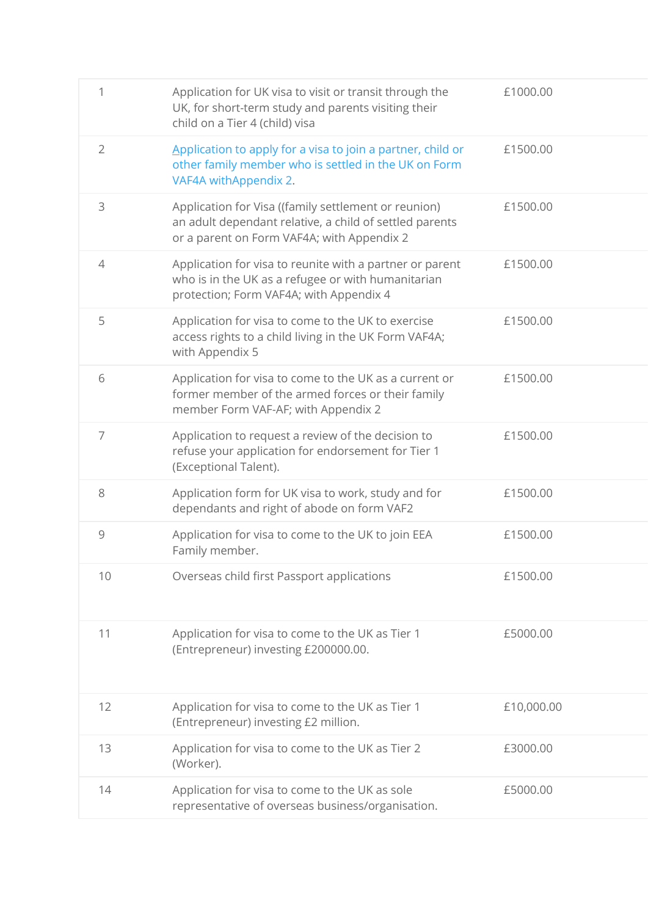| 1              | Application for UK visa to visit or transit through the<br>UK, for short-term study and parents visiting their<br>child on a Tier 4 (child) visa              | £1000.00   |
|----------------|---------------------------------------------------------------------------------------------------------------------------------------------------------------|------------|
| $\overline{2}$ | Application to apply for a visa to join a partner, child or<br>other family member who is settled in the UK on Form<br>VAF4A withAppendix 2.                  | £1500.00   |
| 3              | Application for Visa ((family settlement or reunion)<br>an adult dependant relative, a child of settled parents<br>or a parent on Form VAF4A; with Appendix 2 | £1500.00   |
| $\overline{4}$ | Application for visa to reunite with a partner or parent<br>who is in the UK as a refugee or with humanitarian<br>protection; Form VAF4A; with Appendix 4     | £1500.00   |
| 5              | Application for visa to come to the UK to exercise<br>access rights to a child living in the UK Form VAF4A;<br>with Appendix 5                                | £1500.00   |
| 6              | Application for visa to come to the UK as a current or<br>former member of the armed forces or their family<br>member Form VAF-AF; with Appendix 2            | £1500.00   |
| $\overline{7}$ | Application to request a review of the decision to<br>refuse your application for endorsement for Tier 1<br>(Exceptional Talent).                             | £1500.00   |
| 8              | Application form for UK visa to work, study and for<br>dependants and right of abode on form VAF2                                                             | £1500.00   |
| 9              | Application for visa to come to the UK to join EEA<br>Family member.                                                                                          | £1500.00   |
| 10             | Overseas child first Passport applications                                                                                                                    | £1500.00   |
| 11             | Application for visa to come to the UK as Tier 1<br>(Entrepreneur) investing £200000.00.                                                                      | £5000.00   |
| 12             | Application for visa to come to the UK as Tier 1<br>(Entrepreneur) investing £2 million.                                                                      | £10,000.00 |
| 13             | Application for visa to come to the UK as Tier 2<br>(Worker).                                                                                                 | £3000.00   |
| 14             | Application for visa to come to the UK as sole<br>representative of overseas business/organisation.                                                           | £5000.00   |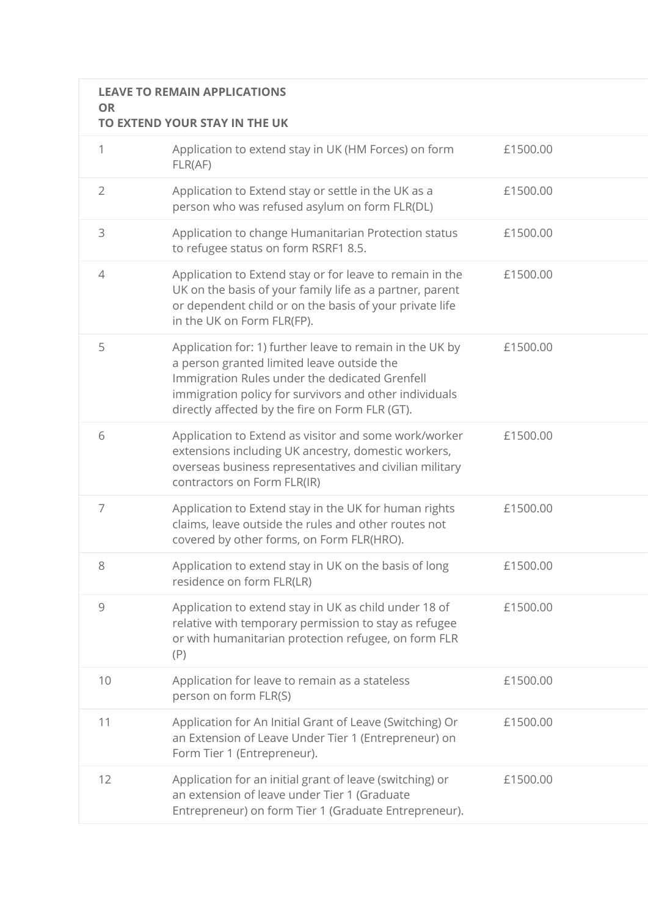## **LEAVE TO REMAIN APPLICATIONS OR**

## **TO EXTEND YOUR STAY IN THE UK**

| $\mathbf 1$    | Application to extend stay in UK (HM Forces) on form<br>FLR(AF)                                                                                                                                                                                                       | £1500.00 |
|----------------|-----------------------------------------------------------------------------------------------------------------------------------------------------------------------------------------------------------------------------------------------------------------------|----------|
| $\overline{2}$ | Application to Extend stay or settle in the UK as a<br>person who was refused asylum on form FLR(DL)                                                                                                                                                                  | £1500.00 |
| 3              | Application to change Humanitarian Protection status<br>to refugee status on form RSRF1 8.5.                                                                                                                                                                          | £1500.00 |
| 4              | Application to Extend stay or for leave to remain in the<br>UK on the basis of your family life as a partner, parent<br>or dependent child or on the basis of your private life<br>in the UK on Form FLR(FP).                                                         | £1500.00 |
| 5              | Application for: 1) further leave to remain in the UK by<br>a person granted limited leave outside the<br>Immigration Rules under the dedicated Grenfell<br>immigration policy for survivors and other individuals<br>directly affected by the fire on Form FLR (GT). | £1500.00 |
| 6              | Application to Extend as visitor and some work/worker<br>extensions including UK ancestry, domestic workers,<br>overseas business representatives and civilian military<br>contractors on Form FLR(IR)                                                                | £1500.00 |
| $\overline{7}$ | Application to Extend stay in the UK for human rights<br>claims, leave outside the rules and other routes not<br>covered by other forms, on Form FLR(HRO).                                                                                                            | £1500.00 |
| 8              | Application to extend stay in UK on the basis of long<br>residence on form FLR(LR)                                                                                                                                                                                    | £1500.00 |
| $\mathcal{G}$  | Application to extend stay in UK as child under 18 of<br>relative with temporary permission to stay as refugee<br>or with humanitarian protection refugee, on form FLR<br>(P)                                                                                         | £1500.00 |
| 10             | Application for leave to remain as a stateless<br>person on form FLR(S)                                                                                                                                                                                               | £1500.00 |
| 11             | Application for An Initial Grant of Leave (Switching) Or<br>an Extension of Leave Under Tier 1 (Entrepreneur) on<br>Form Tier 1 (Entrepreneur).                                                                                                                       | £1500.00 |
| 12             | Application for an initial grant of leave (switching) or<br>an extension of leave under Tier 1 (Graduate<br>Entrepreneur) on form Tier 1 (Graduate Entrepreneur).                                                                                                     | £1500.00 |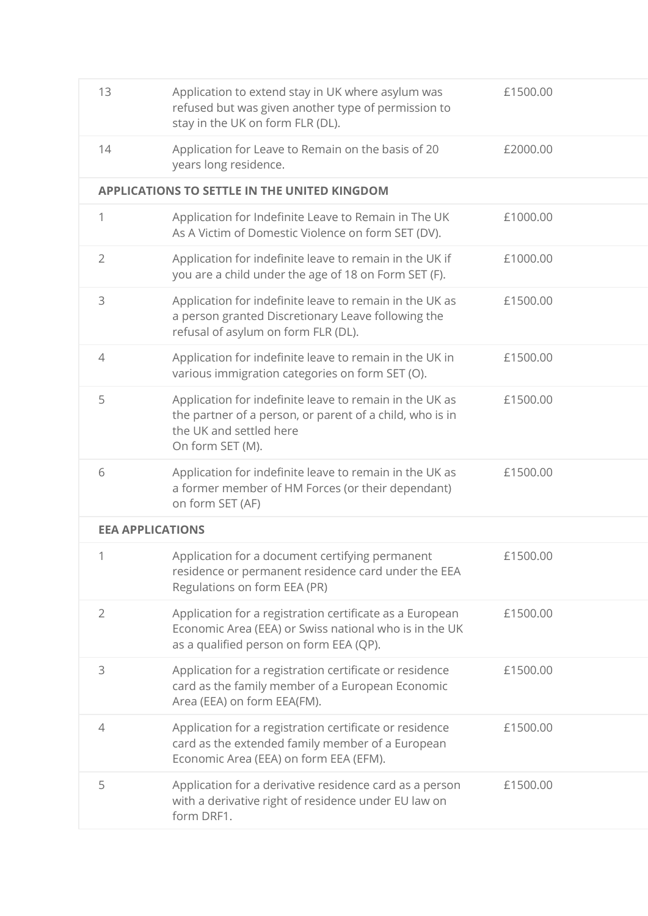| 13                      | Application to extend stay in UK where asylum was<br>refused but was given another type of permission to<br>stay in the UK on form FLR (DL).                       | £1500.00 |
|-------------------------|--------------------------------------------------------------------------------------------------------------------------------------------------------------------|----------|
| 14                      | Application for Leave to Remain on the basis of 20<br>years long residence.                                                                                        | £2000.00 |
|                         | <b>APPLICATIONS TO SETTLE IN THE UNITED KINGDOM</b>                                                                                                                |          |
| $\mathbf{1}$            | Application for Indefinite Leave to Remain in The UK<br>As A Victim of Domestic Violence on form SET (DV).                                                         | £1000.00 |
| $\overline{2}$          | Application for indefinite leave to remain in the UK if<br>you are a child under the age of 18 on Form SET (F).                                                    | £1000.00 |
| 3                       | Application for indefinite leave to remain in the UK as<br>a person granted Discretionary Leave following the<br>refusal of asylum on form FLR (DL).               | £1500.00 |
| 4                       | Application for indefinite leave to remain in the UK in<br>various immigration categories on form SET (O).                                                         | £1500.00 |
| 5                       | Application for indefinite leave to remain in the UK as<br>the partner of a person, or parent of a child, who is in<br>the UK and settled here<br>On form SET (M). | £1500.00 |
| 6                       | Application for indefinite leave to remain in the UK as                                                                                                            | £1500.00 |
|                         | a former member of HM Forces (or their dependant)<br>on form SET (AF)                                                                                              |          |
| <b>EEA APPLICATIONS</b> |                                                                                                                                                                    |          |
| $\mathbf 1$             | Application for a document certifying permanent<br>residence or permanent residence card under the EEA<br>Regulations on form EEA (PR)                             | £1500.00 |
| $\overline{2}$          | Application for a registration certificate as a European<br>Economic Area (EEA) or Swiss national who is in the UK<br>as a qualified person on form EEA (QP).      | £1500.00 |
| 3                       | Application for a registration certificate or residence<br>card as the family member of a European Economic<br>Area (EEA) on form EEA(FM).                         | £1500.00 |
| 4                       | Application for a registration certificate or residence<br>card as the extended family member of a European<br>Economic Area (EEA) on form EEA (EFM).              | £1500.00 |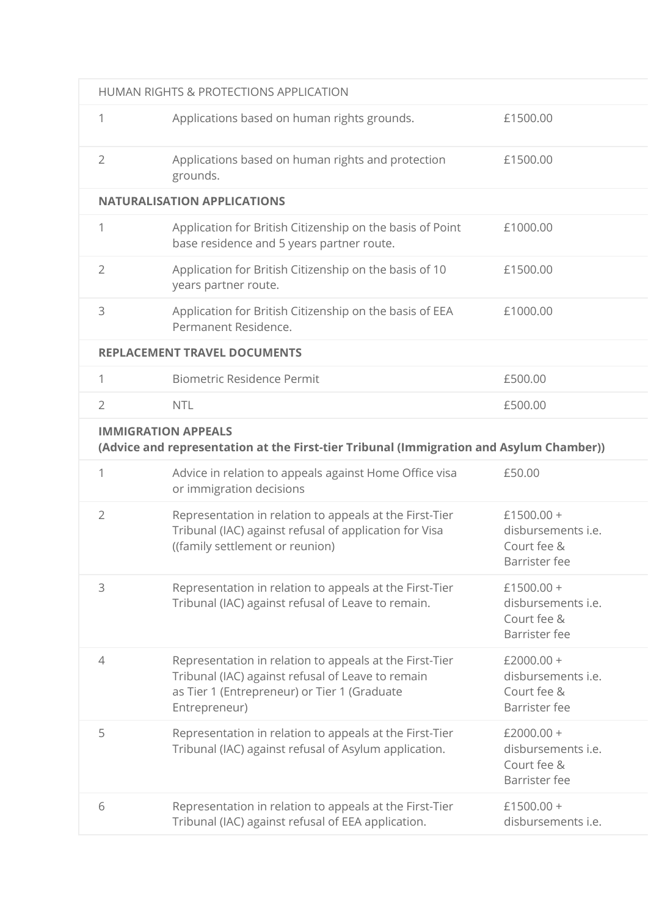|                | HUMAN RIGHTS & PROTECTIONS APPLICATION                                                                                                                                        |                                                                           |
|----------------|-------------------------------------------------------------------------------------------------------------------------------------------------------------------------------|---------------------------------------------------------------------------|
| 1              | Applications based on human rights grounds.                                                                                                                                   | £1500.00                                                                  |
| $\overline{2}$ | Applications based on human rights and protection<br>grounds.                                                                                                                 | £1500.00                                                                  |
|                | <b>NATURALISATION APPLICATIONS</b>                                                                                                                                            |                                                                           |
| $\mathbf{1}$   | Application for British Citizenship on the basis of Point<br>base residence and 5 years partner route.                                                                        | £1000.00                                                                  |
| $\overline{2}$ | Application for British Citizenship on the basis of 10<br>years partner route.                                                                                                | £1500.00                                                                  |
| 3              | Application for British Citizenship on the basis of EEA<br>Permanent Residence.                                                                                               | £1000.00                                                                  |
|                | <b>REPLACEMENT TRAVEL DOCUMENTS</b>                                                                                                                                           |                                                                           |
| 1              | <b>Biometric Residence Permit</b>                                                                                                                                             | £500.00                                                                   |
| $\overline{2}$ | <b>NTL</b>                                                                                                                                                                    | £500.00                                                                   |
|                | <b>IMMIGRATION APPEALS</b><br>(Advice and representation at the First-tier Tribunal (Immigration and Asylum Chamber))                                                         |                                                                           |
| 1              | Advice in relation to appeals against Home Office visa<br>or immigration decisions                                                                                            | £50.00                                                                    |
| $\overline{2}$ | Representation in relation to appeals at the First-Tier<br>Tribunal (IAC) against refusal of application for Visa<br>((family settlement or reunion)                          | £1500.00 +<br>disbursements <i>i.e.</i><br>Court fee &<br>Barrister fee   |
| 3              | Representation in relation to appeals at the First-Tier<br>Tribunal (IAC) against refusal of Leave to remain.                                                                 | £1500.00 +<br>disbursements i.e.<br>Court fee &<br>Barrister fee          |
| 4              | Representation in relation to appeals at the First-Tier<br>Tribunal (IAC) against refusal of Leave to remain<br>as Tier 1 (Entrepreneur) or Tier 1 (Graduate<br>Entrepreneur) | $£2000.00 +$<br>disbursements <i>i.e.</i><br>Court fee &<br>Barrister fee |
| 5              | Representation in relation to appeals at the First-Tier<br>Tribunal (IAC) against refusal of Asylum application.                                                              | $£2000.00 +$<br>disbursements <i>i.e.</i><br>Court fee &<br>Barrister fee |
| 6              | Representation in relation to appeals at the First-Tier<br>Tribunal (IAC) against refusal of EEA application.                                                                 | £1500.00 +<br>disbursements i.e.                                          |